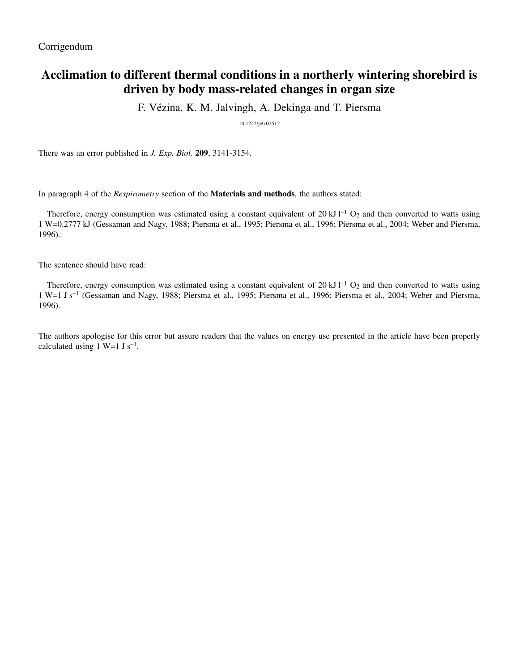**Corrigendum** 

# **Acclimation to different thermal conditions in a northerly wintering shorebird is driven by body mass-related changes in organ size**

F. Vézina, K. M. Jalvingh, A. Dekinga and T. Piersma

10.1242/jeb.02512

There was an error published in *J. Exp. Biol.* **209**, 3141-3154.

In paragraph 4 of the *Respirometry* section of the **Materials and methods**, the authors stated:

Therefore, energy consumption was estimated using a constant equivalent of 20 kJ  $l^{-1}$  O<sub>2</sub> and then converted to watts using 1·W=0.2777·kJ (Gessaman and Nagy, 1988; Piersma et al., 1995; Piersma et al., 1996; Piersma et al., 2004; Weber and Piersma, 1996).

The sentence should have read:

Therefore, energy consumption was estimated using a constant equivalent of 20 kJ  $l^{-1}$  O<sub>2</sub> and then converted to watts using 1·W=1·J·s–1 (Gessaman and Nagy, 1988; Piersma et al., 1995; Piersma et al., 1996; Piersma et al., 2004; Weber and Piersma, 1996).

The authors apologise for this error but assure readers that the values on energy use presented in the article have been properly calculated using 1 W=1 J  $s^{-1}$ .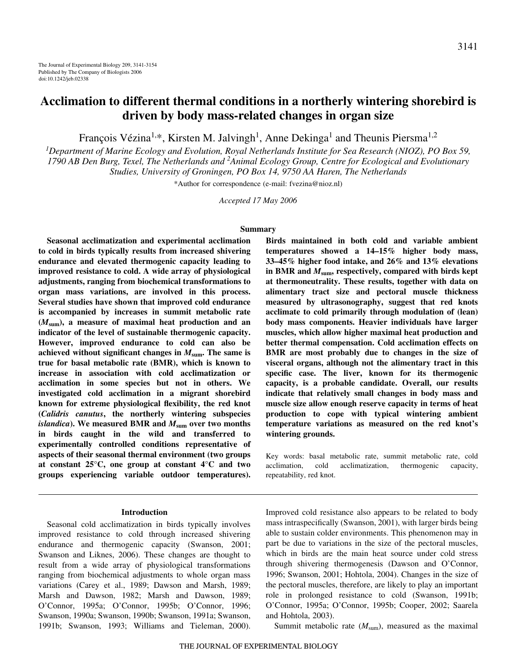# **Acclimation to different thermal conditions in a northerly wintering shorebird is driven by body mass-related changes in organ size**

François Vézina<sup>1,\*</sup>, Kirsten M. Jalvingh<sup>1</sup>, Anne Dekinga<sup>1</sup> and Theunis Piersma<sup>1,2</sup>

*1 Department of Marine Ecology and Evolution, Royal Netherlands Institute for Sea Research (NIOZ), PO Box 59, 1790 AB Den Burg, Texel, The Netherlands and <sup>2</sup> Animal Ecology Group, Centre for Ecological and Evolutionary Studies, University of Groningen, PO Box 14, 9750 AA Haren, The Netherlands*

\*Author for correspondence (e-mail: fvezina@nioz.nl)

*Accepted 17 May 2006*

#### **Summary**

**Seasonal acclimatization and experimental acclimation to cold in birds typically results from increased shivering endurance and elevated thermogenic capacity leading to improved resistance to cold. A wide array of physiological adjustments, ranging from biochemical transformations to organ mass variations, are involved in this process. Several studies have shown that improved cold endurance is accompanied by increases in summit metabolic rate (***M***sum), a measure of maximal heat production and an indicator of the level of sustainable thermogenic capacity. However, improved endurance to cold can also be** achieved without significant changes in  $M_{\text{sum}}$ . The same is **true for basal metabolic rate (BMR), which is known to increase in association with cold acclimatization or acclimation in some species but not in others. We investigated cold acclimation in a migrant shorebird known for extreme physiological flexibility, the red knot (***Calidris canutus***, the northerly wintering subspecies** *islandica***). We measured BMR and** *M***sum over two months in birds caught in the wild and transferred to experimentally controlled conditions representative of aspects of their seasonal thermal environment (two groups at constant 25°C, one group at constant 4°C and two groups experiencing variable outdoor temperatures).**

#### **Introduction**

Seasonal cold acclimatization in birds typically involves improved resistance to cold through increased shivering endurance and thermogenic capacity (Swanson, 2001; Swanson and Liknes, 2006). These changes are thought to result from a wide array of physiological transformations ranging from biochemical adjustments to whole organ mass variations (Carey et al., 1989; Dawson and Marsh, 1989; Marsh and Dawson, 1982; Marsh and Dawson, 1989; O'Connor, 1995a; O'Connor, 1995b; O'Connor, 1996; Swanson, 1990a; Swanson, 1990b; Swanson, 1991a; Swanson, 1991b; Swanson, 1993; Williams and Tieleman, 2000).

**Birds maintained in both cold and variable ambient temperatures showed a 14–15% higher body mass, 33–45% higher food intake, and 26% and 13% elevations in BMR and** *M***sum, respectively, compared with birds kept at thermoneutrality. These results, together with data on alimentary tract size and pectoral muscle thickness measured by ultrasonography, suggest that red knots acclimate to cold primarily through modulation of (lean) body mass components. Heavier individuals have larger muscles, which allow higher maximal heat production and better thermal compensation. Cold acclimation effects on BMR are most probably due to changes in the size of visceral organs, although not the alimentary tract in this specific case. The liver, known for its thermogenic capacity, is a probable candidate. Overall, our results indicate that relatively small changes in body mass and muscle size allow enough reserve capacity in terms of heat production to cope with typical wintering ambient temperature variations as measured on the red knot's wintering grounds.**

Key words: basal metabolic rate, summit metabolic rate, cold acclimation, cold acclimatization, thermogenic capacity, repeatability, red knot.

Improved cold resistance also appears to be related to body mass intraspecifically (Swanson, 2001), with larger birds being able to sustain colder environments. This phenomenon may in part be due to variations in the size of the pectoral muscles, which in birds are the main heat source under cold stress through shivering thermogenesis (Dawson and O'Connor, 1996; Swanson, 2001; Hohtola, 2004). Changes in the size of the pectoral muscles, therefore, are likely to play an important role in prolonged resistance to cold (Swanson, 1991b; O'Connor, 1995a; O'Connor, 1995b; Cooper, 2002; Saarela and Hohtola, 2003).

Summit metabolic rate  $(M_{sum})$ , measured as the maximal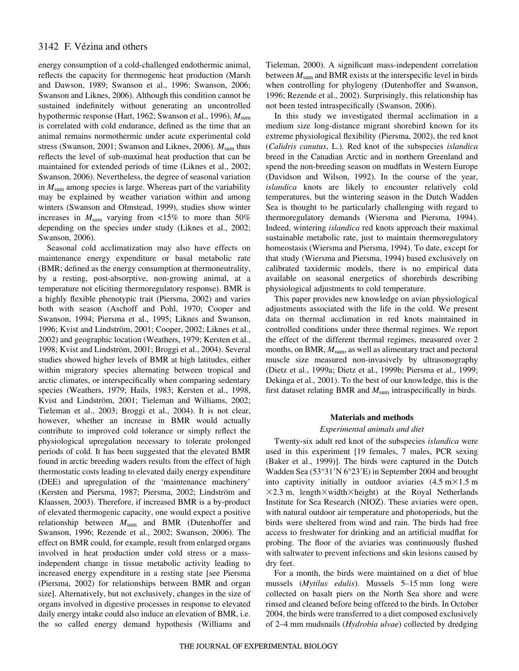energy consumption of a cold-challenged endothermic animal, reflects the capacity for thermogenic heat production (Marsh and Dawson, 1989; Swanson et al., 1996; Swanson, 2006; Swanson and Liknes, 2006). Although this condition cannot be sustained indefinitely without generating an uncontrolled hypothermic response (Hart, 1962; Swanson et al., 1996), *M*sum is correlated with cold endurance, defined as the time that an animal remains normothermic under acute experimental cold stress (Swanson, 2001; Swanson and Liknes, 2006).  $M_{\text{sum}}$  thus reflects the level of sub-maximal heat production that can be maintained for extended periods of time (Liknes et al., 2002; Swanson, 2006). Nevertheless, the degree of seasonal variation in *M*sum among species is large. Whereas part of the variability may be explained by weather variation within and among winters (Swanson and Olmstead, 1999), studies show winter increases in  $M_{\text{sum}}$  varying from <15% to more than 50% depending on the species under study (Liknes et al., 2002; Swanson, 2006).

Seasonal cold acclimatization may also have effects on maintenance energy expenditure or basal metabolic rate (BMR; defined as the energy consumption at thermoneutrality, by a resting, post-absorptive, non-growing animal, at a temperature not eliciting thermoregulatory response). BMR is a highly flexible phenotypic trait (Piersma, 2002) and varies both with season (Aschoff and Pohl, 1970; Cooper and Swanson, 1994; Piersma et al., 1995; Liknes and Swanson, 1996; Kvist and Lindström, 2001; Cooper, 2002; Liknes et al., 2002) and geographic location (Weathers, 1979; Kersten et al., 1998; Kvist and Lindström, 2001; Broggi et al., 2004). Several studies showed higher levels of BMR at high latitudes, either within migratory species alternating between tropical and arctic climates, or interspecifically when comparing sedentary species (Weathers, 1979; Hails, 1983; Kersten et al., 1998, Kvist and Lindström, 2001; Tieleman and Williams, 2002; Tieleman et al., 2003; Broggi et al., 2004). It is not clear, however, whether an increase in BMR would actually contribute to improved cold tolerance or simply reflect the physiological upregulation necessary to tolerate prolonged periods of cold. It has been suggested that the elevated BMR found in arctic breeding waders results from the effect of high thermostatic costs leading to elevated daily energy expenditure (DEE) and upregulation of the 'maintenance machinery' (Kersten and Piersma, 1987; Piersma, 2002; Lindström and Klaassen, 2003). Therefore, if increased BMR is a by-product of elevated thermogenic capacity, one would expect a positive relationship between *M*sum and BMR (Dutenhoffer and Swanson, 1996; Rezende et al., 2002; Swanson, 2006). The effect on BMR could, for example, result from enlarged organs involved in heat production under cold stress or a massindependent change in tissue metabolic activity leading to increased energy expenditure in a resting state [see Piersma (Piersma, 2002) for relationships between BMR and organ size]. Alternatively, but not exclusively, changes in the size of organs involved in digestive processes in response to elevated daily energy intake could also induce an elevation of BMR, i.e. the so called energy demand hypothesis (Williams and Tieleman, 2000). A significant mass-independent correlation between *M*sum and BMR exists at the interspecific level in birds when controlling for phylogeny (Dutenhoffer and Swanson, 1996; Rezende et al., 2002). Surprisingly, this relationship has not been tested intraspecifically (Swanson, 2006).

In this study we investigated thermal acclimation in a medium size long-distance migrant shorebird known for its extreme physiological flexibility (Piersma, 2002), the red knot (*Calidris canutus*, L.). Red knot of the subspecies *islandica* breed in the Canadian Arctic and in northern Greenland and spend the non-breeding season on mudflats in Western Europe (Davidson and Wilson, 1992). In the course of the year, *islandica* knots are likely to encounter relatively cold temperatures, but the wintering season in the Dutch Wadden Sea is thought to be particularly challenging with regard to thermoregulatory demands (Wiersma and Piersma, 1994). Indeed, wintering *islandica* red knots approach their maximal sustainable metabolic rate, just to maintain thermoregulatory homeostasis (Wiersma and Piersma, 1994). To date, except for that study (Wiersma and Piersma, 1994) based exclusively on calibrated taxidermic models, there is no empirical data available on seasonal energetics of shorebirds describing physiological adjustments to cold temperature.

This paper provides new knowledge on avian physiological adjustments associated with the life in the cold. We present data on thermal acclimation in red knots maintained in controlled conditions under three thermal regimes. We report the effect of the different thermal regimes, measured over 2 months, on BMR,  $M_{\text{sum}}$ , as well as alimentary tract and pectoral muscle size measured non-invasively by ultrasonography (Dietz et al., 1999a; Dietz et al., 1999b; Piersma et al., 1999; Dekinga et al., 2001). To the best of our knowledge, this is the first dataset relating BMR and  $M_{\text{sum}}$  intraspecifically in birds.

#### **Materials and methods**

#### *Experimental animals and diet*

Twenty-six adult red knot of the subspecies *islandica* were used in this experiment [19 females, 7 males, PCR sexing (Baker et al., 1999)]. The birds were captured in the Dutch Wadden Sea (53°31'N 6°23'E) in September 2004 and brought into captivity initially in outdoor aviaries  $(4.5 \text{ m} \times 1.5 \text{ m})$  $\times$ 2.3 m, length $\times$ width $\times$ height) at the Royal Netherlands Institute for Sea Research (NIOZ). These aviaries were open, with natural outdoor air temperature and photoperiods, but the birds were sheltered from wind and rain. The birds had free access to freshwater for drinking and an artificial mudflat for probing. The floor of the aviaries was continuously flushed with saltwater to prevent infections and skin lesions caused by dry feet.

For a month, the birds were maintained on a diet of blue mussels (*Mytilus edulis*). Mussels 5–15 mm long were collected on basalt piers on the North Sea shore and were rinsed and cleaned before being offered to the birds. In October 2004, the birds were transferred to a diet composed exclusively of 2–4 mm mudsnails (*Hydrobia ulvae*) collected by dredging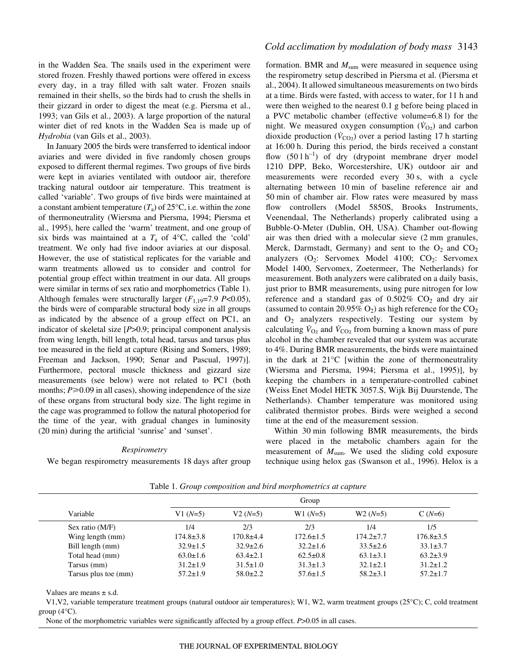in the Wadden Sea. The snails used in the experiment were stored frozen. Freshly thawed portions were offered in excess every day, in a tray filled with salt water. Frozen snails remained in their shells, so the birds had to crush the shells in their gizzard in order to digest the meat (e.g. Piersma et al., 1993; van Gils et al., 2003). A large proportion of the natural winter diet of red knots in the Wadden Sea is made up of *Hydrobia* (van Gils et al., 2003).

In January 2005 the birds were transferred to identical indoor aviaries and were divided in five randomly chosen groups exposed to different thermal regimes. Two groups of five birds were kept in aviaries ventilated with outdoor air, therefore tracking natural outdoor air temperature. This treatment is called 'variable'. Two groups of five birds were maintained at a constant ambient temperature  $(T_a)$  of 25<sup>o</sup>C, i.e. within the zone of thermoneutrality (Wiersma and Piersma, 1994; Piersma et al., 1995), here called the 'warm' treatment, and one group of six birds was maintained at a  $T_a$  of  $4^{\circ}$ C, called the 'cold' treatment. We only had five indoor aviaries at our disposal. However, the use of statistical replicates for the variable and warm treatments allowed us to consider and control for potential group effect within treatment in our data. All groups were similar in terms of sex ratio and morphometrics (Table 1). Although females were structurally larger  $(F_{1,19}=7.9 \text{ } P<0.05)$ , the birds were of comparable structural body size in all groups as indicated by the absence of a group effect on PC1, an indicator of skeletal size [*P*>0.9; principal component analysis from wing length, bill length, total head, tarsus and tarsus plus toe measured in the field at capture (Rising and Somers, 1989; Freeman and Jackson, 1990; Senar and Pascual, 1997)]. Furthermore, pectoral muscle thickness and gizzard size measurements (see below) were not related to PC1 (both months;  $P \ge 0.09$  in all cases), showing independence of the size of these organs from structural body size. The light regime in the cage was programmed to follow the natural photoperiod for the time of the year, with gradual changes in luminosity  $(20 \text{ min})$  during the artificial 'sunrise' and 'sunset'.

#### *Respirometry*

We began respirometry measurements 18 days after group

formation. BMR and  $M_{\text{sum}}$  were measured in sequence using the respirometry setup described in Piersma et al. (Piersma et al., 2004). It allowed simultaneous measurements on two birds at a time. Birds were fasted, with access to water, for 11 h and were then weighed to the nearest  $0.1$  g before being placed in a PVC metabolic chamber (effective volume=6.8 l) for the night. We measured oxygen consumption  $(\dot{V}_{O_2})$  and carbon dioxide production ( $\dot{V}_{CO_2}$ ) over a period lasting 17 h starting at 16:00 h. During this period, the birds received a constant flow  $(50 \, \text{I h}^{-1})$  of dry (drypoint membrane dryer model 1210 DPP, Beko, Worcestershire, UK) outdoor air and measurements were recorded every 30 s, with a cycle alternating between 10 min of baseline reference air and 50 min of chamber air. Flow rates were measured by mass flow controllers (Model 5850S, Brooks Instruments, Veenendaal, The Netherlands) properly calibrated using a Bubble-O-Meter (Dublin, OH, USA). Chamber out-flowing air was then dried with a molecular sieve  $(2 \text{ mm}$  granules, Merck, Darmstadt, Germany) and sent to the  $O_2$  and  $CO_2$ analyzers  $(O_2$ : Servomex Model 4100;  $CO_2$ : Servomex Model 1400, Servomex, Zoetermeer, The Netherlands) for measurement. Both analyzers were calibrated on a daily basis, just prior to BMR measurements, using pure nitrogen for low reference and a standard gas of  $0.502\%$  CO<sub>2</sub> and dry air (assumed to contain 20.95%  $O_2$ ) as high reference for the  $CO_2$ and  $O_2$  analyzers respectively. Testing our system by calculating  $V_{\text{O}_2}$  and  $V_{\text{CO}_2}$  from burning a known mass of pure alcohol in the chamber revealed that our system was accurate to 4%. During BMR measurements, the birds were maintained in the dark at 21°C [within the zone of thermoneutrality (Wiersma and Piersma, 1994; Piersma et al., 1995)], by keeping the chambers in a temperature-controlled cabinet (Weiss Enet Model HETK 3057.S, Wijk Bij Duurstende, The Netherlands). Chamber temperature was monitored using calibrated thermistor probes. Birds were weighed a second time at the end of the measurement session.

Within 30 min following BMR measurements, the birds were placed in the metabolic chambers again for the measurement of *M*sum. We used the sliding cold exposure technique using helox gas (Swanson et al., 1996). Helox is a

|                      |                 | Group          |                 |                 |                 |  |  |  |
|----------------------|-----------------|----------------|-----------------|-----------------|-----------------|--|--|--|
| Variable             | $V1(N=5)$       | $V2(N=5)$      | $W1(N=5)$       | $W2(N=5)$       | $C(N=6)$        |  |  |  |
| Sex ratio $(M/F)$    | 1/4             | 2/3            | 2/3             | 1/4             | 1/5             |  |  |  |
| Wing length (mm)     | $174.8 \pm 3.8$ | $170.8 + 4.4$  | $172.6 \pm 1.5$ | $174.2 \pm 7.7$ | $176.8 \pm 3.5$ |  |  |  |
| Bill length (mm)     | $32.9 \pm 1.5$  | $32.9 \pm 2.6$ | $32.2 \pm 1.6$  | $33.5 \pm 2.6$  | $33.1 \pm 3.7$  |  |  |  |
| Total head (mm)      | $63.0 \pm 1.6$  | $63.4 \pm 2.1$ | $62.5 \pm 0.8$  | $63.1 \pm 3.1$  | $63.2 \pm 3.9$  |  |  |  |
| Tarsus (mm)          | $31.2 \pm 1.9$  | $31.5 \pm 1.0$ | $31.3 \pm 1.3$  | $32.1 \pm 2.1$  | $31.2 \pm 1.2$  |  |  |  |
| Tarsus plus toe (mm) | $57.2 \pm 1.9$  | $58.0 \pm 2.2$ | $57.6 \pm 1.5$  | $58.2 \pm 3.1$  | $57.2 \pm 1.7$  |  |  |  |

Table 1. *Group composition and bird morphometrics at capture* 

Values are means  $\pm$  s.d.

V1,V2, variable temperature treatment groups (natural outdoor air temperatures); W1, W2, warm treatment groups (25°C); C, cold treatment group (4°C).

None of the morphometric variables were significantly affected by a group effect. *P*>0.05 in all cases.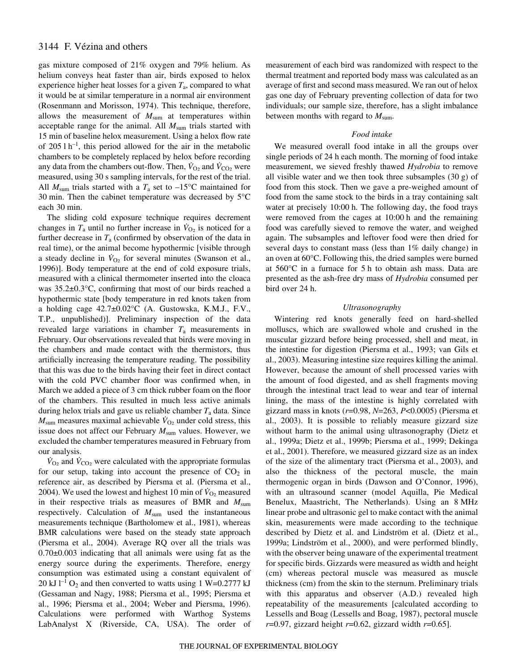gas mixture composed of 21% oxygen and 79% helium. As helium conveys heat faster than air, birds exposed to helox experience higher heat losses for a given  $T_a$ , compared to what it would be at similar temperature in a normal air environment (Rosenmann and Morisson, 1974). This technique, therefore, allows the measurement of *M*sum at temperatures within acceptable range for the animal. All  $M_{\text{sum}}$  trials started with 15 min of baseline helox measurement. Using a helox flow rate of  $205 \, \text{ln}^{-1}$ , this period allowed for the air in the metabolic chambers to be completely replaced by helox before recording any data from the chambers out-flow. Then,  $\dot{V}_{O_2}$  and  $\dot{V}_{CO_2}$  were measured, using 30 s sampling intervals, for the rest of the trial. All  $M_{\text{sum}}$  trials started with a  $T_a$  set to  $-15^{\circ}$ C maintained for 30 min. Then the cabinet temperature was decreased by  $5^{\circ}$ C each 30 min.

The sliding cold exposure technique requires decrement changes in  $T_a$  until no further increase in  $V_{O_2}$  is noticed for a further decrease in *T*<sup>a</sup> (confirmed by observation of the data in real time), or the animal become hypothermic [visible through a steady decline in  $V_{O_2}$  for several minutes (Swanson et al., 1996)]. Body temperature at the end of cold exposure trials, measured with a clinical thermometer inserted into the cloaca was 35.2±0.3°C, confirming that most of our birds reached a hypothermic state [body temperature in red knots taken from a holding cage 42.7±0.02°C (A. Gustowska, K.M.J., F.V., T.P., unpublished)]. Preliminary inspection of the data revealed large variations in chamber *T*<sup>a</sup> measurements in February. Our observations revealed that birds were moving in the chambers and made contact with the thermistors, thus artificially increasing the temperature reading. The possibility that this was due to the birds having their feet in direct contact with the cold PVC chamber floor was confirmed when, in March we added a piece of 3 cm thick rubber foam on the floor of the chambers. This resulted in much less active animals during helox trials and gave us reliable chamber *T*<sup>a</sup> data. Since  $M_{\text{sum}}$  measures maximal achievable  $\dot{V}_{\text{O}_2}$  under cold stress, this issue does not affect our February  $M_{\text{sum}}$  values. However, we excluded the chamber temperatures measured in February from our analysis.

 $V_{\text{O}_2}$  and  $V_{\text{CO}_2}$  were calculated with the appropriate formulas for our setup, taking into account the presence of  $CO<sub>2</sub>$  in reference air, as described by Piersma et al. (Piersma et al., 2004). We used the lowest and highest 10 min of  $V_{O_2}$  measured in their respective trials as measures of BMR and  $M_{\text{sum}}$ respectively. Calculation of  $M_{\text{sum}}$  used the instantaneous measurements technique (Bartholomew et al., 1981), whereas BMR calculations were based on the steady state approach (Piersma et al., 2004). Average RQ over all the trials was 0.70±0.003 indicating that all animals were using fat as the energy source during the experiments. Therefore, energy consumption was estimated using a constant equivalent of 20 kJ  $l^{-1}$  O<sub>2</sub> and then converted to watts using 1 W=0.2777 kJ (Gessaman and Nagy, 1988; Piersma et al., 1995; Piersma et al., 1996; Piersma et al., 2004; Weber and Piersma, 1996). Calculations were performed with Warthog Systems LabAnalyst X (Riverside, CA, USA). The order of measurement of each bird was randomized with respect to the thermal treatment and reported body mass was calculated as an average of first and second mass measured. We ran out of helox gas one day of February preventing collection of data for two individuals; our sample size, therefore, has a slight imbalance between months with regard to  $M_{\text{sum}}$ .

## *Food intake*

We measured overall food intake in all the groups over single periods of 24 h each month. The morning of food intake measurement, we sieved freshly thawed *Hydrobia* to remove all visible water and we then took three subsamples  $(30g)$  of food from this stock. Then we gave a pre-weighed amount of food from the same stock to the birds in a tray containing salt water at precisely 10:00 h. The following day, the food trays were removed from the cages at 10:00 h and the remaining food was carefully sieved to remove the water, and weighed again. The subsamples and leftover food were then dried for several days to constant mass (less than 1% daily change) in an oven at 60°C. Following this, the dried samples were burned at  $560^{\circ}$ C in a furnace for 5 h to obtain ash mass. Data are presented as the ash-free dry mass of *Hydrobia* consumed per bird over 24 h.

## *Ultrasonography*

Wintering red knots generally feed on hard-shelled molluscs, which are swallowed whole and crushed in the muscular gizzard before being processed, shell and meat, in the intestine for digestion (Piersma et al., 1993; van Gils et al., 2003). Measuring intestine size requires killing the animal. However, because the amount of shell processed varies with the amount of food digested, and as shell fragments moving through the intestinal tract lead to wear and tear of internal lining, the mass of the intestine is highly correlated with gizzard mass in knots (*r*=0.98, *N*=263, *P*<0.0005) (Piersma et al., 2003). It is possible to reliably measure gizzard size without harm to the animal using ultrasonography (Dietz et al., 1999a; Dietz et al., 1999b; Piersma et al., 1999; Dekinga et al., 2001). Therefore, we measured gizzard size as an index of the size of the alimentary tract (Piersma et al., 2003), and also the thickness of the pectoral muscle, the main thermogenic organ in birds (Dawson and O'Connor, 1996), with an ultrasound scanner (model Aquilla, Pie Medical Benelux, Maastricht, The Netherlands). Using an 8 MHz linear probe and ultrasonic gel to make contact with the animal skin, measurements were made according to the technique described by Dietz et al. and Lindström et al. (Dietz et al., 1999a; Lindström et al., 2000), and were performed blindly, with the observer being unaware of the experimental treatment for specific birds. Gizzards were measured as width and height (cm) whereas pectoral muscle was measured as muscle thickness (cm) from the skin to the sternum. Preliminary trials with this apparatus and observer (A.D.) revealed high repeatability of the measurements [calculated according to Lessells and Boag (Lessells and Boag, 1987), pectoral muscle *r*=0.97, gizzard height *r*=0.62, gizzard width *r*=0.65].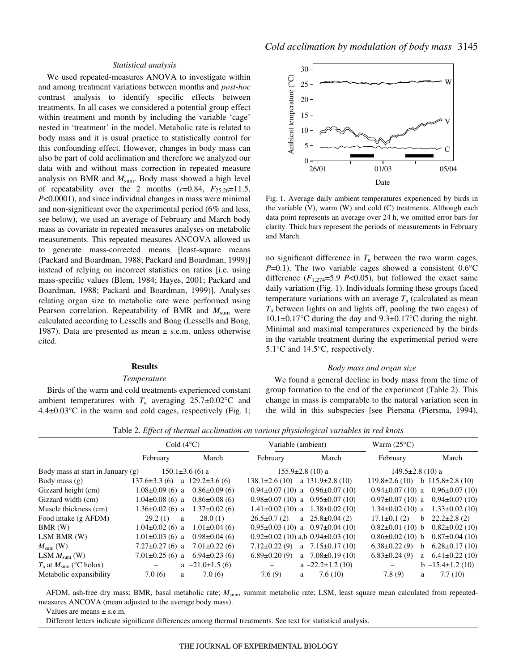#### *Statistical analysis*

We used repeated-measures ANOVA to investigate within and among treatment variations between months and *post-hoc* contrast analysis to identify specific effects between treatments. In all cases we considered a potential group effect within treatment and month by including the variable 'cage' nested in 'treatment' in the model. Metabolic rate is related to body mass and it is usual practice to statistically control for this confounding effect. However, changes in body mass can also be part of cold acclimation and therefore we analyzed our data with and without mass correction in repeated measure analysis on BMR and  $M_{\text{sum}}$ . Body mass showed a high level of repeatability over the 2 months  $(r=0.84, F_{25,26}=11.5,$ *P*<0.0001), and since individual changes in mass were minimal and non-significant over the experimental period (6% and less, see below), we used an average of February and March body mass as covariate in repeated measures analyses on metabolic measurements. This repeated measures ANCOVA allowed us to generate mass-corrected means [least-square means (Packard and Boardman, 1988; Packard and Boardman, 1999)] instead of relying on incorrect statistics on ratios [i.e. using mass-specific values (Blem, 1984; Hayes, 2001; Packard and Boardman, 1988; Packard and Boardman, 1999)]. Analyses relating organ size to metabolic rate were performed using Pearson correlation. Repeatability of BMR and  $M_{\text{sum}}$  were calculated according to Lessells and Boag (Lessells and Boag, 1987). Data are presented as mean  $\pm$  s.e.m. unless otherwise cited.

## **Results**

## *Temperature*

Birds of the warm and cold treatments experienced constant ambient temperatures with  $T_a$  averaging 25.7±0.02°C and  $4.4\pm0.03^{\circ}$ C in the warm and cold cages, respectively (Fig. 1;



Fig. 1. Average daily ambient temperatures experienced by birds in the variable (V), warm (W) and cold (C) treatments. Although each data point represents an average over 24 h, we omitted error bars for clarity. Thick bars represent the periods of measurements in February and March.

no significant difference in  $T_a$  between the two warm cages, *P*=0.1). The two variable cages showed a consistent 0.6°C difference  $(F_{1,274}=5.9 \text{ } P<0.05)$ , but followed the exact same daily variation (Fig. 1). Individuals forming these groups faced temperature variations with an average  $T_a$  (calculated as mean *T*<sup>a</sup> between lights on and lights off, pooling the two cages) of 10.1±0.17°C during the day and 9.3±0.17°C during the night. Minimal and maximal temperatures experienced by the birds in the variable treatment during the experimental period were 5.1°C and 14.5°C, respectively.

#### *Body mass and organ size*

We found a general decline in body mass from the time of group formation to the end of the experiment (Table 2). This change in mass is comparable to the natural variation seen in the wild in this subspecies [see Piersma (Piersma, 1994),

Table 2. *Effect of thermal acclimation on various physiological variables in red knots* 

|                                                          |                       | Cold $(4^{\circ}C)$   |                    | Variable (ambient)                        | Warm $(25^{\circ}C)$   |                                         |  |
|----------------------------------------------------------|-----------------------|-----------------------|--------------------|-------------------------------------------|------------------------|-----------------------------------------|--|
|                                                          | February              | March                 | February           | March                                     | February               | March                                   |  |
| $150.1\pm3.6$ (6) a<br>Body mass at start in January (g) |                       |                       |                    | $155.9\pm2.8$ (10) a                      | $149.5 \pm 2.8$ (10) a |                                         |  |
| Body mass $(g)$                                          | $137.6 \pm 3.3(6)$    | a $129.2\pm3.6(6)$    | $138.1\pm2.6(10)$  | a $131.9\pm2.8$ (10)                      | $119.8 \pm 2.6(10)$    | b $115.8 \pm 2.8$ (10)                  |  |
| Gizzard height (cm)                                      | $1.08 \pm 0.09$ (6) a | $0.86 \pm 0.09(6)$    |                    | $0.94\pm0.07(10)$ a $0.96\pm0.07(10)$     |                        | $0.94\pm0.07(10)$ a $0.96\pm0.07(10)$   |  |
| Gizzard width (cm)                                       | $1.04 \pm 0.08$ (6) a | $0.86 \pm 0.08$ (6)   |                    | $0.98\pm0.07$ (10) a $0.95\pm0.07$ (10)   |                        | $0.97\pm0.07$ (10) a $0.94\pm0.07$ (10) |  |
| Muscle thickness (cm)                                    | $1.36 \pm 0.02$ (6) a | $1.37\pm0.02(6)$      |                    | $1.41\pm0.02$ (10) a $1.38\pm0.02$ (10)   | $1.34\pm0.02$ (10) a   | $1.33 \pm 0.02$ (10)                    |  |
| Food intake (g AFDM)                                     | 29.2(1)               | 28.0(1)<br>a          | $26.5 \pm 0.7(2)$  | a $25.8 \pm 0.04$ (2)                     | $17.1 \pm 0.1$ (2)     | $22.2 \pm 2.8$ (2)<br><sub>b</sub>      |  |
| BMR(W)                                                   | $1.04 \pm 0.02$ (6) a | $1.01\pm0.04(6)$      |                    | $0.95\pm0.03$ (10) a $0.97\pm0.04$ (10)   | $0.82 \pm 0.01$ (10) b | $0.82 \pm 0.02$ (10)                    |  |
| LSM BMR (W)                                              | $1.01 \pm 0.03$ (6) a | $0.98 \pm 0.04(6)$    |                    | $0.92\pm0.02$ (10) a.b $0.94\pm0.03$ (10) | $0.86 \pm 0.02$ (10) b | $0.87 \pm 0.04$ (10)                    |  |
| $M_{\text{sum}}$ (W)                                     | $7.27 \pm 0.27$ (6) a | $7.01 \pm 0.22$ (6)   | $7.12 \pm 0.22(9)$ | a $7.15 \pm 0.17(10)$                     | $6.38\pm0.22(9)$       | $6.28 \pm 0.17(10)$<br><sub>b</sub>     |  |
| LSM $M_{\text{sum}}$ (W)                                 | $7.01 \pm 0.25$ (6) a | $6.94\pm0.23(6)$      | $6.89\pm0.20(9)$   | a $7.08 \pm 0.19$ (10)                    | $6.83 \pm 0.24$ (9)    | $6.41 \pm 0.22$ (10)<br>a               |  |
| $T_a$ at $M_{\text{sum}}$ (°C helox)                     |                       | a $-21.0 \pm 1.5$ (6) |                    | $a -22.2 \pm 1.2$ (10)                    | $\qquad \qquad -$      | $b -15.4 \pm 1.2(10)$                   |  |
| Metabolic expansibility                                  | 7.0(6)                | 7.0 (6)<br>a          | 7.6(9)             | 7.6(10)<br>a                              | 7.8(9)                 | 7.7(10)<br>a                            |  |

AFDM, ash-free dry mass; BMR, basal metabolic rate; *M*sum, summit metabolic rate; LSM, least square mean calculated from repeatedmeasures ANCOVA (mean adjusted to the average body mass).

Values are means  $\pm$  s.e.m.

Different letters indicate significant differences among thermal treatments. See text for statistical analysis.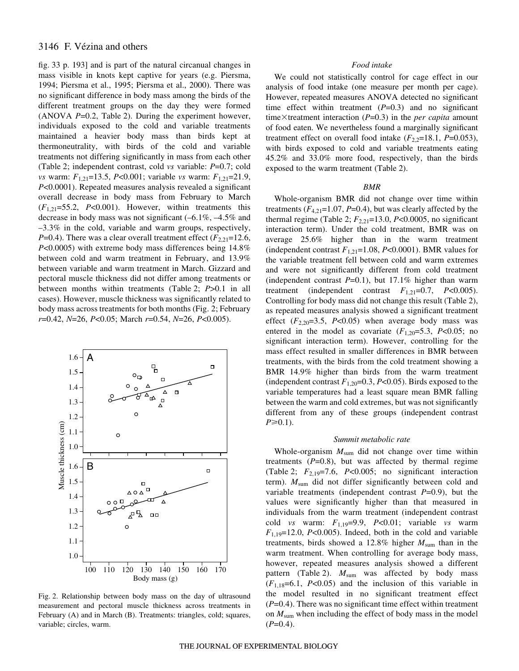fig. 33 p. 193] and is part of the natural circanual changes in mass visible in knots kept captive for years (e.g. Piersma, 1994; Piersma et al., 1995; Piersma et al., 2000). There was no significant difference in body mass among the birds of the different treatment groups on the day they were formed (ANOVA  $P=0.2$ , Table 2). During the experiment however, individuals exposed to the cold and variable treatments maintained a heavier body mass than birds kept at thermoneutrality, with birds of the cold and variable treatments not differing significantly in mass from each other (Table·2; independent contrast, cold *vs* variable: *P*=0.7; cold *vs* warm: *F*1,21=13.5, *P*<0.001; variable *vs* warm: *F*1,21=21.9, *P*<0.0001). Repeated measures analysis revealed a significant overall decrease in body mass from February to March (*F*1,21=55.2, *P*<0.001). However, within treatments this decrease in body mass was not significant (–6.1%, –4.5% and –3.3% in the cold, variable and warm groups, respectively, *P*=0.4). There was a clear overall treatment effect  $(F_{2,21}=12.6,$ *P*<0.0005) with extreme body mass differences being 14.8% between cold and warm treatment in February, and 13.9% between variable and warm treatment in March. Gizzard and pectoral muscle thickness did not differ among treatments or between months within treatments (Table 2; *P*>0.1 in all cases). However, muscle thickness was significantly related to body mass across treatments for both months (Fig. 2; February *r*=0.42, *N*=26, *P*<0.05; March *r*=0.54, *N*=26, *P*<0.005).



Fig. 2. Relationship between body mass on the day of ultrasound measurement and pectoral muscle thickness across treatments in February (A) and in March (B). Treatments: triangles, cold; squares,

# *Food intake*

We could not statistically control for cage effect in our analysis of food intake (one measure per month per cage). However, repeated measures ANOVA detected no significant time effect within treatment  $(P=0.3)$  and no significant time $\times$ treatment interaction ( $P=0.3$ ) in the *per capita* amount of food eaten. We nevertheless found a marginally significant treatment effect on overall food intake  $(F_{2,2}=18.1, P=0.053)$ , with birds exposed to cold and variable treatments eating 45.2% and 33.0% more food, respectively, than the birds exposed to the warm treatment (Table 2).

## *BMR*

Whole-organism BMR did not change over time within treatments  $(F_{4,21}=1.07, P=0.4)$ , but was clearly affected by the thermal regime (Table 2;  $F_{2,21}=13.0$ ,  $P<0.0005$ , no significant interaction term). Under the cold treatment, BMR was on average 25.6% higher than in the warm treatment (independent contrast  $F_{1,21}=1.08$ ,  $P<0.0001$ ). BMR values for the variable treatment fell between cold and warm extremes and were not significantly different from cold treatment (independent contrast  $P=0.1$ ), but 17.1% higher than warm treatment (independent contrast  $F_{1,21}=0.7$ ,  $P<0.005$ ). Controlling for body mass did not change this result (Table·2), as repeated measures analysis showed a significant treatment effect  $(F_{2,20}=3.5, P<0.05)$  when average body mass was entered in the model as covariate  $(F_{1,20}=5.3, P<0.05;$  no significant interaction term). However, controlling for the mass effect resulted in smaller differences in BMR between treatments, with the birds from the cold treatment showing a BMR 14.9% higher than birds from the warm treatment (independent contrast  $F_{1,20}$ =0.3, *P*<0.05). Birds exposed to the variable temperatures had a least square mean BMR falling between the warm and cold extremes, but was not significantly different from any of these groups (independent contrast  $P \ge 0.1$ ).

#### *Summit metabolic rate*

Whole-organism *M*sum did not change over time within treatments  $(P=0.8)$ , but was affected by thermal regime (Table 2;  $F_{2,19}=7.6$ ,  $P<0.005$ ; no significant interaction term). *M*sum did not differ significantly between cold and variable treatments (independent contrast *P*=0.9), but the values were significantly higher than that measured in individuals from the warm treatment (independent contrast cold *vs* warm: *F*1,19=9.9, *P*<0.01; variable *vs* warm  $F_{1,19}=12.0$ ,  $P<0.005$ ). Indeed, both in the cold and variable treatments, birds showed a  $12.8\%$  higher  $M_{\text{sum}}$  than in the warm treatment. When controlling for average body mass, however, repeated measures analysis showed a different pattern (Table 2). *M*<sub>sum</sub> was affected by body mass  $(F_{1,18}=6.1, P<0.05)$  and the inclusion of this variable in the model resulted in no significant treatment effect (*P*=0.4). There was no significant time effect within treatment on *M*sum when including the effect of body mass in the model  $(P=0.4)$ .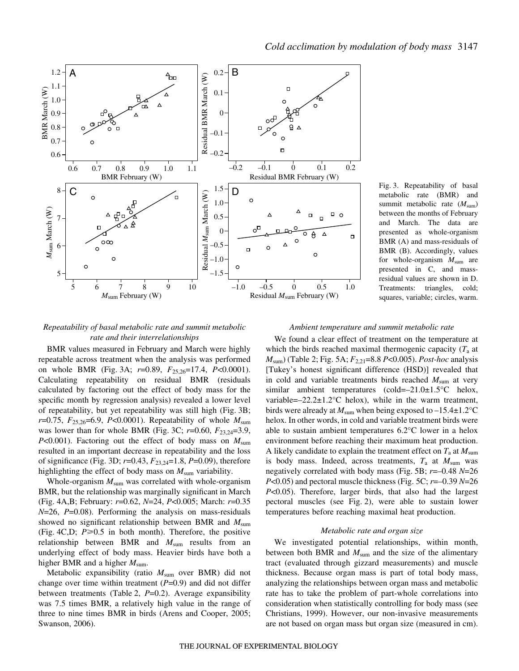

# *Repeatability of basal metabolic rate and summit metabolic rate and their interrelationships*

BMR values measured in February and March were highly repeatable across treatment when the analysis was performed on whole BMR (Fig. 3A;  $r=0.89$ ,  $F_{25.26}=17.4$ ,  $P<0.0001$ ). Calculating repeatability on residual BMR (residuals calculated by factoring out the effect of body mass for the specific month by regression analysis) revealed a lower level of repeatability, but yet repeatability was still high (Fig. 3B; *r*=0.75,  $F_{25,26}$ =6.9, *P*<0.0001). Repeatability of whole  $M_{\text{sum}}$ was lower than for whole BMR (Fig. 3C;  $r=0.60$ ,  $F_{23,24}=3.9$ , *P*<0.001). Factoring out the effect of body mass on  $M_{\text{sum}}$ resulted in an important decrease in repeatability and the loss of significance (Fig.·3D; *r*=0.43, *F*23,24=1.8, *P*=0.09), therefore highlighting the effect of body mass on  $M_{\text{sum}}$  variability.

Whole-organism *M*sum was correlated with whole-organism BMR, but the relationship was marginally significant in March (Fig.·4A,B; February: *r*=0.62, *N*=24, *P*<0.005; March: *r*=0.35 *N*=26, *P*=0.08). Performing the analysis on mass-residuals showed no significant relationship between BMR and  $M_{\text{sum}}$ (Fig. 4C,D;  $P \ge 0.5$  in both month). Therefore, the positive relationship between BMR and *M*sum results from an underlying effect of body mass. Heavier birds have both a higher BMR and a higher  $M_{\text{sum}}$ .

Metabolic expansibility (ratio *M*sum over BMR) did not change over time within treatment (*P*=0.9) and did not differ between treatments (Table 2, *P*=0.2). Average expansibility was 7.5 times BMR, a relatively high value in the range of three to nine times BMR in birds (Arens and Cooper, 2005; Swanson, 2006).

Fig. 3. Repeatability of basal metabolic rate (BMR) and summit metabolic rate ( $M_{\text{sum}}$ ) between the months of February and March. The data are presented as whole-organism BMR (A) and mass-residuals of BMR (B). Accordingly, values for whole-organism  $M_{\text{sum}}$  are presented in C, and massresidual values are shown in D. Treatments: triangles, cold; squares, variable; circles, warm.

## *Ambient temperature and summit metabolic rate*

We found a clear effect of treatment on the temperature at which the birds reached maximal thermogenic capacity  $(T_a)$  at *M*<sub>sum</sub>) (Table 2; Fig. 5A; *F*<sub>2,21</sub>=8.8 *P*<0.005). *Post-hoc* analysis [Tukey's honest significant difference (HSD)] revealed that in cold and variable treatments birds reached  $M_{\text{sum}}$  at very similar ambient temperatures (cold=-21.0±1.5°C helox, variable= $-22.2 \pm 1.2$ °C helox), while in the warm treatment, birds were already at  $M_{\text{sum}}$  when being exposed to  $-15.4 \pm 1.2$ °C helox. In other words, in cold and variable treatment birds were able to sustain ambient temperatures 6.2°C lower in a helox environment before reaching their maximum heat production. A likely candidate to explain the treatment effect on  $T_a$  at  $M_{\text{sum}}$ is body mass. Indeed, across treatments,  $T_a$  at  $M_{\text{sum}}$  was negatively correlated with body mass (Fig. 5B; *r*=–0.48 *N*=26  $P<0.05$ ) and pectoral muscle thickness (Fig. 5C;  $r=-0.39 N=26$ *P*<0.05). Therefore, larger birds, that also had the largest pectoral muscles (see Fig. 2), were able to sustain lower temperatures before reaching maximal heat production.

## *Metabolic rate and organ size*

We investigated potential relationships, within month, between both BMR and  $M_{\text{sum}}$  and the size of the alimentary tract (evaluated through gizzard measurements) and muscle thickness. Because organ mass is part of total body mass, analyzing the relationships between organ mass and metabolic rate has to take the problem of part-whole correlations into consideration when statistically controlling for body mass (see Christians, 1999). However, our non-invasive measurements are not based on organ mass but organ size (measured in cm).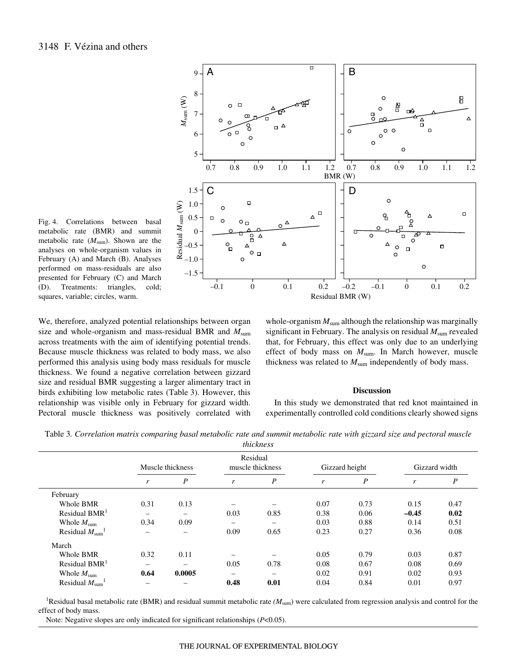

Fig. 4. Correlations between basal metabolic rate (BMR) and summit metabolic rate  $(M_{sum})$ . Shown are the analyses on whole-organism values in February (A) and March (B). Analyses performed on mass-residuals are also presented for February (C) and March (D). Treatments: triangles, cold; squares, variable; circles, warm.

We, therefore, analyzed potential relationships between organ size and whole-organism and mass-residual BMR and  $M_{\text{sum}}$ across treatments with the aim of identifying potential trends. Because muscle thickness was related to body mass, we also performed this analysis using body mass residuals for muscle thickness. We found a negative correlation between gizzard size and residual BMR suggesting a larger alimentary tract in birds exhibiting low metabolic rates (Table 3). However, this relationship was visible only in February for gizzard width. Pectoral muscle thickness was positively correlated with

whole-organism  $M_{\text{sum}}$  although the relationship was marginally significant in February. The analysis on residual  $M_{\text{sum}}$  revealed that, for February, this effect was only due to an underlying effect of body mass on  $M_{\text{sum}}$ . In March however, muscle thickness was related to  $M_{\text{sum}}$  independently of body mass.

#### **Discussion**

In this study we demonstrated that red knot maintained in experimentally controlled cold conditions clearly showed signs

Table 3. Correlation matrix comparing basal metabolic rate and summit metabolic rate with gizzard size and pectoral muscle *thickness*

| <i>uuckness</i>                        |                          |                          |                              |                  |                |                  |               |                  |
|----------------------------------------|--------------------------|--------------------------|------------------------------|------------------|----------------|------------------|---------------|------------------|
|                                        | Muscle thickness         |                          | Residual<br>muscle thickness |                  | Gizzard height |                  | Gizzard width |                  |
|                                        | r                        | $\boldsymbol{P}$         | r                            | $\boldsymbol{P}$ | r              | $\boldsymbol{P}$ | r             | $\boldsymbol{P}$ |
| February                               |                          |                          |                              |                  |                |                  |               |                  |
| Whole BMR                              | 0.31                     | 0.13                     |                              |                  | 0.07           | 0.73             | 0.15          | 0.47             |
| Residual BMR $1$                       | -                        | —                        | 0.03                         | 0.85             | 0.38           | 0.06             | $-0.45$       | 0.02             |
| Whole $M_{\text{sum}}$                 | 0.34                     | 0.09                     | -                            | -                | 0.03           | 0.88             | 0.14          | 0.51             |
| Residual $M_{\text{sum}}$ <sup>1</sup> | -                        | -                        | 0.09                         | 0.65             | 0.23           | 0.27             | 0.36          | 0.08             |
| March                                  |                          |                          |                              |                  |                |                  |               |                  |
| Whole BMR                              | 0.32                     | 0.11                     |                              |                  | 0.05           | 0.79             | 0.03          | 0.87             |
| Residual BMR $1$                       | $\qquad \qquad$          | $\overline{\phantom{0}}$ | 0.05                         | 0.78             | 0.08           | 0.67             | 0.08          | 0.69             |
| Whole $M_{\text{sum}}$                 | 0.64                     | 0.0005                   | -                            | -                | 0.02           | 0.91             | 0.02          | 0.93             |
| Residual $M_{\text{sum}}$ <sup>1</sup> | $\overline{\phantom{0}}$ |                          | 0.48                         | 0.01             | 0.04           | 0.84             | 0.01          | 0.97             |

<sup>1</sup>Residual basal metabolic rate (BMR) and residual summit metabolic rate ( $M_{sum}$ ) were calculated from regression analysis and control for the effect of body mass.

Note: Negative slopes are only indicated for significant relationships (*P*<0.05).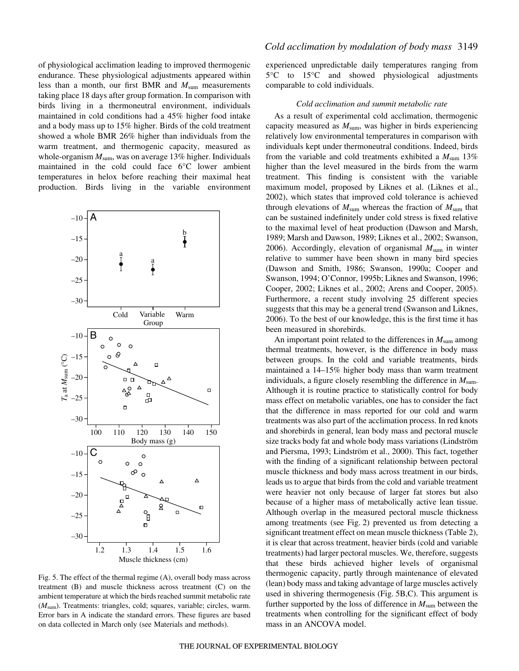of physiological acclimation leading to improved thermogenic endurance. These physiological adjustments appeared within less than a month, our first BMR and  $M_{\text{sum}}$  measurements taking place 18 days after group formation. In comparison with birds living in a thermoneutral environment, individuals maintained in cold conditions had a 45% higher food intake and a body mass up to 15% higher. Birds of the cold treatment showed a whole BMR 26% higher than individuals from the warm treatment, and thermogenic capacity, measured as whole-organism  $M_{\text{sum}}$ , was on average 13% higher. Individuals maintained in the cold could face 6°C lower ambient temperatures in helox before reaching their maximal heat production. Birds living in the variable environment



Fig. 5. The effect of the thermal regime  $(A)$ , overall body mass across treatment (B) and muscle thickness across treatment (C) on the ambient temperature at which the birds reached summit metabolic rate (*M*sum). Treatments: triangles, cold; squares, variable; circles, warm. Error bars in A indicate the standard errors. These figures are based on data collected in March only (see Materials and methods).

experienced unpredictable daily temperatures ranging from 5°C to 15°C and showed physiological adjustments comparable to cold individuals.

## *Cold acclimation and summit metabolic rate*

As a result of experimental cold acclimation, thermogenic capacity measured as *M*sum, was higher in birds experiencing relatively low environmental temperatures in comparison with individuals kept under thermoneutral conditions. Indeed, birds from the variable and cold treatments exhibited a  $M_{\text{sum}}$  13% higher than the level measured in the birds from the warm treatment. This finding is consistent with the variable maximum model, proposed by Liknes et al. (Liknes et al., 2002), which states that improved cold tolerance is achieved through elevations of  $M_{\text{sum}}$  whereas the fraction of  $M_{\text{sum}}$  that can be sustained indefinitely under cold stress is fixed relative to the maximal level of heat production (Dawson and Marsh, 1989; Marsh and Dawson, 1989; Liknes et al., 2002; Swanson, 2006). Accordingly, elevation of organismal *M*sum in winter relative to summer have been shown in many bird species (Dawson and Smith, 1986; Swanson, 1990a; Cooper and Swanson, 1994; O'Connor, 1995b; Liknes and Swanson, 1996; Cooper, 2002; Liknes et al., 2002; Arens and Cooper, 2005). Furthermore, a recent study involving 25 different species suggests that this may be a general trend (Swanson and Liknes, 2006). To the best of our knowledge, this is the first time it has been measured in shorebirds.

An important point related to the differences in  $M_{\text{sum}}$  among thermal treatments, however, is the difference in body mass between groups. In the cold and variable treatments, birds maintained a 14–15% higher body mass than warm treatment individuals, a figure closely resembling the difference in  $M_{\text{sum}}$ . Although it is routine practice to statistically control for body mass effect on metabolic variables, one has to consider the fact that the difference in mass reported for our cold and warm treatments was also part of the acclimation process. In red knots and shorebirds in general, lean body mass and pectoral muscle size tracks body fat and whole body mass variations (Lindström and Piersma, 1993; Lindström et al., 2000). This fact, together with the finding of a significant relationship between pectoral muscle thickness and body mass across treatment in our birds, leads us to argue that birds from the cold and variable treatment were heavier not only because of larger fat stores but also because of a higher mass of metabolically active lean tissue. Although overlap in the measured pectoral muscle thickness among treatments (see Fig. 2) prevented us from detecting a significant treatment effect on mean muscle thickness (Table 2), it is clear that across treatment, heavier birds (cold and variable treatments) had larger pectoral muscles. We, therefore, suggests that these birds achieved higher levels of organismal thermogenic capacity, partly through maintenance of elevated (lean) body mass and taking advantage of large muscles actively used in shivering thermogenesis (Fig. 5B,C). This argument is further supported by the loss of difference in  $M_{\text{sum}}$  between the treatments when controlling for the significant effect of body mass in an ANCOVA model.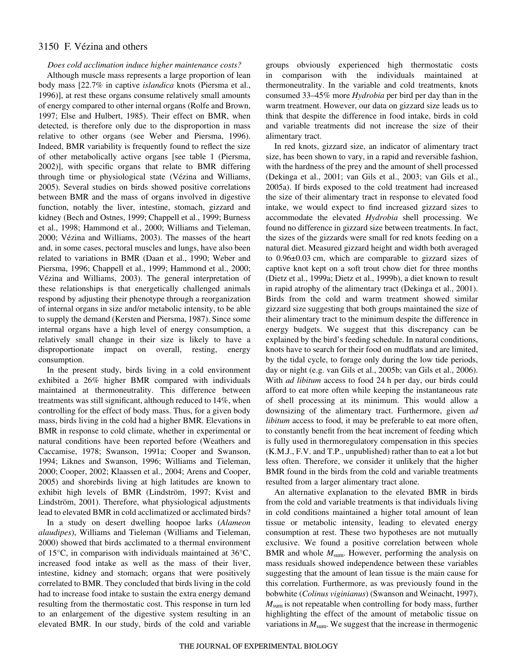# *Does cold acclimation induce higher maintenance costs?*

Although muscle mass represents a large proportion of lean body mass [22.7% in captive *islandica* knots (Piersma et al., 1996)], at rest these organs consume relatively small amounts of energy compared to other internal organs (Rolfe and Brown, 1997; Else and Hulbert, 1985). Their effect on BMR, when detected, is therefore only due to the disproportion in mass relative to other organs (see Weber and Piersma, 1996). Indeed, BMR variability is frequently found to reflect the size of other metabolically active organs [see table 1 (Piersma, 2002)], with specific organs that relate to BMR differing through time or physiological state (Vézina and Williams, 2005). Several studies on birds showed positive correlations between BMR and the mass of organs involved in digestive function, notably the liver, intestine, stomach, gizzard and kidney (Bech and Ostnes, 1999; Chappell et al., 1999; Burness et al., 1998; Hammond et al., 2000; Williams and Tieleman, 2000; Vézina and Williams, 2003). The masses of the heart and, in some cases, pectoral muscles and lungs, have also been related to variations in BMR (Daan et al., 1990; Weber and Piersma, 1996; Chappell et al., 1999; Hammond et al., 2000; Vézina and Williams, 2003). The general interpretation of these relationships is that energetically challenged animals respond by adjusting their phenotype through a reorganization of internal organs in size and/or metabolic intensity, to be able to supply the demand (Kersten and Piersma, 1987). Since some internal organs have a high level of energy consumption, a relatively small change in their size is likely to have a disproportionate impact on overall, resting, energy consumption.

In the present study, birds living in a cold environment exhibited a 26% higher BMR compared with individuals maintained at thermoneutrality. This difference between treatments was still significant, although reduced to 14%, when controlling for the effect of body mass. Thus, for a given body mass, birds living in the cold had a higher BMR. Elevations in BMR in response to cold climate, whether in experimental or natural conditions have been reported before (Weathers and Caccamise, 1978; Swanson, 1991a; Cooper and Swanson, 1994; Liknes and Swanson, 1996; Williams and Tieleman, 2000; Cooper, 2002; Klaassen et al., 2004; Arens and Cooper, 2005) and shorebirds living at high latitudes are known to exhibit high levels of BMR (Lindström, 1997; Kvist and Lindström, 2001). Therefore, what physiological adjustments lead to elevated BMR in cold acclimatized or acclimated birds?

In a study on desert dwelling hoopoe larks (*Alameon alaudipes*), Williams and Tieleman (Williams and Tieleman, 2000) showed that birds acclimated to a thermal environment of 15°C, in comparison with individuals maintained at 36°C, increased food intake as well as the mass of their liver, intestine, kidney and stomach; organs that were positively correlated to BMR. They concluded that birds living in the cold had to increase food intake to sustain the extra energy demand resulting from the thermostatic cost. This response in turn led to an enlargement of the digestive system resulting in an elevated BMR. In our study, birds of the cold and variable groups obviously experienced high thermostatic costs in comparison with the individuals maintained at thermoneutrality. In the variable and cold treatments, knots consumed 33–45% more *Hydrobia* per bird per day than in the warm treatment. However, our data on gizzard size leads us to think that despite the difference in food intake, birds in cold and variable treatments did not increase the size of their alimentary tract.

In red knots, gizzard size, an indicator of alimentary tract size, has been shown to vary, in a rapid and reversible fashion, with the hardness of the prey and the amount of shell processed (Dekinga et al., 2001; van Gils et al., 2003; van Gils et al., 2005a). If birds exposed to the cold treatment had increased the size of their alimentary tract in response to elevated food intake, we would expect to find increased gizzard sizes to accommodate the elevated *Hydrobia* shell processing. We found no difference in gizzard size between treatments. In fact, the sizes of the gizzards were small for red knots feeding on a natural diet. Measured gizzard height and width both averaged to  $0.96\pm0.03$  cm, which are comparable to gizzard sizes of captive knot kept on a soft trout chow diet for three months (Dietz et al., 1999a; Dietz et al., 1999b), a diet known to result in rapid atrophy of the alimentary tract (Dekinga et al., 2001). Birds from the cold and warm treatment showed similar gizzard size suggesting that both groups maintained the size of their alimentary tract to the minimum despite the difference in energy budgets. We suggest that this discrepancy can be explained by the bird's feeding schedule. In natural conditions, knots have to search for their food on mudflats and are limited, by the tidal cycle, to forage only during the low tide periods, day or night (e.g. van Gils et al., 2005b; van Gils et al., 2006). With *ad libitum* access to food 24 h per day, our birds could afford to eat more often while keeping the instantaneous rate of shell processing at its minimum. This would allow a downsizing of the alimentary tract. Furthermore, given *ad libitum* access to food, it may be preferable to eat more often, to constantly benefit from the heat increment of feeding which is fully used in thermoregulatory compensation in this species (K.M.J., F.V. and T.P., unpublished) rather than to eat a lot but less often. Therefore, we consider it unlikely that the higher BMR found in the birds from the cold and variable treatments resulted from a larger alimentary tract alone.

An alternative explanation to the elevated BMR in birds from the cold and variable treatments is that individuals living in cold conditions maintained a higher total amount of lean tissue or metabolic intensity, leading to elevated energy consumption at rest. These two hypotheses are not mutually exclusive. We found a positive correlation between whole BMR and whole  $M_{\text{sum}}$ . However, performing the analysis on mass residuals showed independence between these variables suggesting that the amount of lean tissue is the main cause for this correlation. Furthermore, as was previously found in the bobwhite (*Colinus viginianus*) (Swanson and Weinacht, 1997), *M*sum is not repeatable when controlling for body mass, further highlighting the effect of the amount of metabolic tissue on variations in  $M_{\text{sum}}$ . We suggest that the increase in thermogenic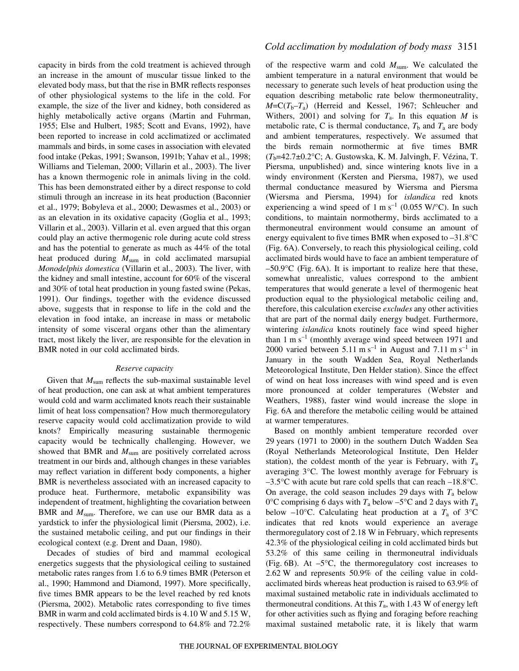capacity in birds from the cold treatment is achieved through an increase in the amount of muscular tissue linked to the elevated body mass, but that the rise in BMR reflects responses of other physiological systems to the life in the cold. For example, the size of the liver and kidney, both considered as highly metabolically active organs (Martin and Fuhrman, 1955; Else and Hulbert, 1985; Scott and Evans, 1992), have been reported to increase in cold acclimatized or acclimated mammals and birds, in some cases in association with elevated food intake (Pekas, 1991; Swanson, 1991b; Yahav et al., 1998; Williams and Tieleman, 2000; Villarin et al., 2003). The liver has a known thermogenic role in animals living in the cold. This has been demonstrated either by a direct response to cold stimuli through an increase in its heat production (Baconnier et al., 1979; Bobyleva et al., 2000; Dewasmes et al., 2003) or as an elevation in its oxidative capacity (Goglia et al., 1993; Villarin et al., 2003). Villarin et al. even argued that this organ could play an active thermogenic role during acute cold stress and has the potential to generate as much as 44% of the total heat produced during *M*sum in cold acclimated marsupial *Monodelphis domestica* (Villarin et al., 2003). The liver, with the kidney and small intestine, account for 60% of the visceral and 30% of total heat production in young fasted swine (Pekas, 1991). Our findings, together with the evidence discussed above, suggests that in response to life in the cold and the elevation in food intake, an increase in mass or metabolic intensity of some visceral organs other than the alimentary tract, most likely the liver, are responsible for the elevation in BMR noted in our cold acclimated birds.

## *Reserve capacity*

Given that  $M_{\text{sum}}$  reflects the sub-maximal sustainable level of heat production, one can ask at what ambient temperatures would cold and warm acclimated knots reach their sustainable limit of heat loss compensation? How much thermoregulatory reserve capacity would cold acclimatization provide to wild knots? Empirically measuring sustainable thermogenic capacity would be technically challenging. However, we showed that BMR and  $M_{\text{sum}}$  are positively correlated across treatment in our birds and, although changes in these variables may reflect variation in different body components, a higher BMR is nevertheless associated with an increased capacity to produce heat. Furthermore, metabolic expansibility was independent of treatment, highlighting the covariation between BMR and *M*sum. Therefore, we can use our BMR data as a yardstick to infer the physiological limit (Piersma, 2002), i.e. the sustained metabolic ceiling, and put our findings in their ecological context (e.g. Drent and Daan, 1980).

Decades of studies of bird and mammal ecological energetics suggests that the physiological ceiling to sustained metabolic rates ranges from 1.6 to 6.9 times BMR (Peterson et al., 1990; Hammond and Diamond, 1997). More specifically, five times BMR appears to be the level reached by red knots (Piersma, 2002). Metabolic rates corresponding to five times BMR in warm and cold acclimated birds is 4.10 W and 5.15 W, respectively. These numbers correspond to 64.8% and 72.2%

# *Cold acclimation by modulation of body mass* 3151

of the respective warm and cold *M*sum. We calculated the ambient temperature in a natural environment that would be necessary to generate such levels of heat production using the equation describing metabolic rate below thermoneutrality,  $M = C(T_b - T_a)$  (Herreid and Kessel, 1967; Schleucher and Withers, 2001) and solving for  $T_a$ . In this equation *M* is metabolic rate, C is thermal conductance,  $T_b$  and  $T_a$  are body and ambient temperatures, respectively. We assumed that the birds remain normothermic at five times BMR (*T*b=42.7±0.2°C; A. Gustowska, K. M. Jalvingh, F. Vézina, T. Piersma, unpublished) and, since wintering knots live in a windy environment (Kersten and Piersma, 1987), we used thermal conductance measured by Wiersma and Piersma (Wiersma and Piersma, 1994) for *islandica* red knots experiencing a wind speed of  $1 \text{ m s}^{-1}$  (0.055 W/°C). In such conditions, to maintain normothermy, birds acclimated to a thermoneutral environment would consume an amount of energy equivalent to five times BMR when exposed to –31.8°C (Fig. 6A). Conversely, to reach this physiological ceiling, cold acclimated birds would have to face an ambient temperature of  $-50.9$ °C (Fig. 6A). It is important to realize here that these, somewhat unrealistic, values correspond to the ambient temperatures that would generate a level of thermogenic heat production equal to the physiological metabolic ceiling and, therefore, this calculation exercise *excludes* any other activities that are part of the normal daily energy budget. Furthermore, wintering *islandica* knots routinely face wind speed higher than  $1 \text{ m s}^{-1}$  (monthly average wind speed between 1971 and 2000 varied between 5.11 m s<sup>-1</sup> in August and 7.11 m s<sup>-1</sup> in January in the south Wadden Sea, Royal Netherlands Meteorological Institute, Den Helder station). Since the effect of wind on heat loss increases with wind speed and is even more pronounced at colder temperatures (Webster and Weathers, 1988), faster wind would increase the slope in Fig. 6A and therefore the metabolic ceiling would be attained at warmer temperatures.

Based on monthly ambient temperature recorded over 29 years (1971 to 2000) in the southern Dutch Wadden Sea (Royal Netherlands Meteorological Institute, Den Helder station), the coldest month of the year is February, with  $T_a$ averaging 3°C. The lowest monthly average for February is  $-3.5^{\circ}$ C with acute but rare cold spells that can reach  $-18.8^{\circ}$ C. On average, the cold season includes 29 days with  $T_a$  below 0°C comprising 6 days with  $T_a$  below –5°C and 2 days with  $T_a$ below  $-10^{\circ}$ C. Calculating heat production at a  $T_a$  of  $3^{\circ}$ C indicates that red knots would experience an average thermoregulatory cost of 2.18 W in February, which represents 42.3% of the physiological ceiling in cold acclimated birds but 53.2% of this same ceiling in thermoneutral individuals (Fig. 6B). At  $-5^{\circ}$ C, the thermoregulatory cost increases to  $2.62$  W and represents  $50.9\%$  of the ceiling value in coldacclimated birds whereas heat production is raised to 63.9% of maximal sustained metabolic rate in individuals acclimated to thermoneutral conditions. At this  $T_a$ , with 1.43 W of energy left for other activities such as flying and foraging before reaching maximal sustained metabolic rate, it is likely that warm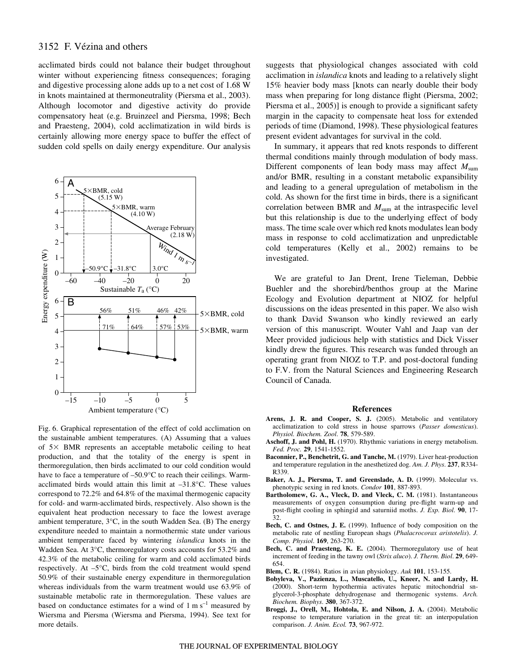acclimated birds could not balance their budget throughout winter without experiencing fitness consequences; foraging and digestive processing alone adds up to a net cost of 1.68·W in knots maintained at thermoneutrality (Piersma et al., 2003). Although locomotor and digestive activity do provide compensatory heat (e.g. Bruinzeel and Piersma, 1998; Bech and Praesteng, 2004), cold acclimatization in wild birds is certainly allowing more energy space to buffer the effect of sudden cold spells on daily energy expenditure. Our analysis



Fig. 6. Graphical representation of the effect of cold acclimation on the sustainable ambient temperatures. (A) Assuming that a values of  $5 \times$  BMR represents an acceptable metabolic ceiling to heat production, and that the totality of the energy is spent in thermoregulation, then birds acclimated to our cold condition would have to face a temperature of -50.9°C to reach their ceilings. Warmacclimated birds would attain this limit at –31.8°C. These values correspond to 72.2% and 64.8% of the maximal thermogenic capacity for cold- and warm-acclimated birds, respectively. Also shown is the equivalent heat production necessary to face the lowest average ambient temperature, 3°C, in the south Wadden Sea. (B) The energy expenditure needed to maintain a normothermic state under various ambient temperature faced by wintering *islandica* knots in the Wadden Sea. At 3°C, thermoregulatory costs accounts for 53.2% and 42.3% of the metabolic ceiling for warm and cold acclimated birds respectively. At –5°C, birds from the cold treatment would spend 50.9% of their sustainable energy expenditure in thermoregulation whereas individuals from the warm treatment would use 63.9% of sustainable metabolic rate in thermoregulation. These values are based on conductance estimates for a wind of  $1 \text{ m s}^{-1}$  measured by Wiersma and Piersma (Wiersma and Piersma, 1994). See text for more details.

suggests that physiological changes associated with cold acclimation in *islandica* knots and leading to a relatively slight 15% heavier body mass [knots can nearly double their body mass when preparing for long distance flight (Piersma, 2002; Piersma et al., 2005)] is enough to provide a significant safety margin in the capacity to compensate heat loss for extended periods of time (Diamond, 1998). These physiological features present evident advantages for survival in the cold.

In summary, it appears that red knots responds to different thermal conditions mainly through modulation of body mass. Different components of lean body mass may affect  $M_{\text{sum}}$ and/or BMR, resulting in a constant metabolic expansibility and leading to a general upregulation of metabolism in the cold. As shown for the first time in birds, there is a significant correlation between BMR and  $M_{\text{sum}}$  at the intraspecific level but this relationship is due to the underlying effect of body mass. The time scale over which red knots modulates lean body mass in response to cold acclimatization and unpredictable cold temperatures (Kelly et al., 2002) remains to be investigated.

We are grateful to Jan Drent, Irene Tieleman, Debbie Buehler and the shorebird/benthos group at the Marine Ecology and Evolution department at NIOZ for helpful discussions on the ideas presented in this paper. We also wish to thank David Swanson who kindly reviewed an early version of this manuscript. Wouter Vahl and Jaap van der Meer provided judicious help with statistics and Dick Visser kindly drew the figures. This research was funded through an operating grant from NIOZ to T.P. and post-doctoral funding to F.V. from the Natural Sciences and Engineering Research Council of Canada.

## **References**

- **Arens, J. R. and Cooper, S. J.** (2005). Metabolic and ventilatory acclimatization to cold stress in house sparrows (*Passer domesticus*). *Physiol. Biochem. Zool*. **78**, 579-589.
- **Aschoff, J. and Pohl, H.** (1970). Rhythmic variations in energy metabolism. *Fed. Proc.* **29**, 1541-1552.
- **Baconnier, P., Benchetrit, G. and Tanche, M.** (1979). Liver heat-production and temperature regulation in the anesthetized dog. *Am. J. Phys*. **237**, R334- R339.
- **Baker, A. J., Piersma, T. and Greenslade, A. D.** (1999). Molecular vs. phenotypic sexing in red knots. *Condor* **101**, 887-893.
- **Bartholomew, G. A., Vleck, D. and Vleck, C. M.** (1981). Instantaneous measurements of oxygen consumption during pre-flight warm-up and post-flight cooling in sphingid and saturniid moths. *J. Exp. Biol.* **90**, 17- 32.
- **Bech, C. and Ostnes, J. E.** (1999). Influence of body composition on the metabolic rate of nestling European shags (*Phalacrocorax aristotelis*). *J. Comp. Physiol*. **169**, 263-270.
- **Bech, C. and Praesteng, K. E.** (2004). Thermoregulatory use of heat increment of feeding in the tawny owl (*Strix aluco*). *J. Therm. Biol*. **29**, 649- 654.
- **Blem, C. R.** (1984). Ratios in avian physiology. *Auk* **101**, 153-155.
- **Bobyleva, V., Pazienza, L., Muscatello, U., Kneer, N. and Lardy, H.** (2000). Short-term hypothermia activates hepatic mitochondrial snglycerol-3-phosphate dehydrogenase and thermogenic systems. *Arch. Biochem. Biophys*. **380**, 367-372.
- **Broggi, J., Orell, M., Hohtola, E. and Nilson, J. A.** (2004). Metabolic response to temperature variation in the great tit: an interpopulation comparison. *J. Anim. Ecol.* **73**, 967-972.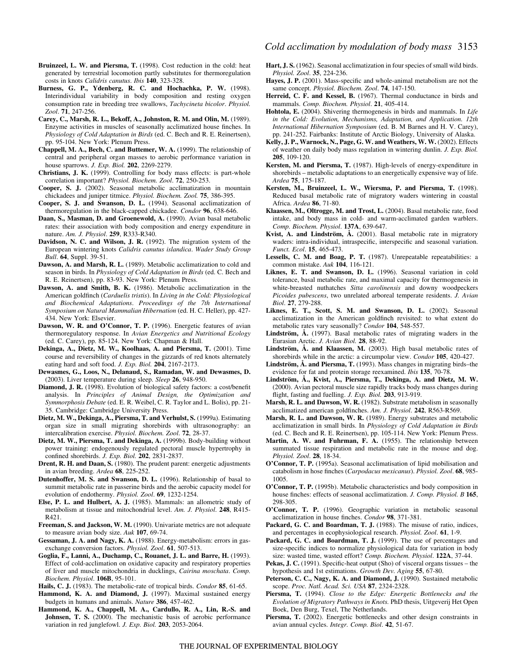- **Bruinzeel, L. W. and Piersma, T.** (1998). Cost reduction in the cold: heat generated by terrestrial locomotion partly substitutes for thermoregulation costs in knots *Calidris canutus*. *Ibis* **140**, 323-328.
- **Burness, G. P., Ydenberg, R. C. and Hochachka, P. W.** (1998). Interindividual variability in body composition and resting oxygen consumption rate in breeding tree swallows, *Tachycineta bicolor*. *Physiol. Zool*. **71**, 247-256.
- **Carey, C., Marsh, R. L., Bekoff, A., Johnston, R. M. and Olin, M.** (1989). Enzyme activities in muscles of seasonally acclimatized house finches. In *Physiology of Cold Adaptation in Birds* (ed. C. Bech and R. E. Reinertsen), pp. 95-104. New York: Plenum Press.
- **Chappell, M. A., Bech, C. and Buttemer, W. A.** (1999). The relationship of central and peripheral organ masses to aerobic performance variation in house sparrows. *J. Exp. Biol.* **202**, 2269-2279.
- **Christians, J. K.** (1999). Controlling for body mass effects: is part-whole correlation important? *Physiol. Biochem. Zool*. **72**, 250-253.
- **Cooper, S. J.** (2002). Seasonal metabolic acclimatization in mountain chickadees and juniper titmice. *Physiol. Biochem. Zool.* **75**, 386-395.
- **Cooper, S. J. and Swanson, D. L.** (1994). Seasonal acclimatization of thermoregulation in the black-capped chickadee. *Condor* **96**, 638-646.
- **Daan, S., Masman, D. and Groenewold, A.** (1990). Avian basal metabolic rates: their association with body composition and energy expenditure in nature. *Am. J. Physiol*. **259**, R333-R340.
- **Davidson, N. C. and Wilson, J. R.** (1992). The migration system of the European wintering knots *Calidris canutus islandica*. *Wader Study Group Bull*. **64**, Suppl. 39-51.
- **Dawson, A. and Marsh, R. L.** (1989). Metabolic acclimatization to cold and season in birds. In *Physiology of Cold Adaptation in Birds* (ed. C. Bech and R. E. Reinertsen), pp. 83-93. New York: Plenum Press.
- **Dawson, A. and Smith, B. K.** (1986). Metabolic acclimatization in the American goldfinch (*Carduelis tristis*). In *Living in the Cold: Physiological and Biochemical Adaptations*. *Proceedings of the 7th International Symposium on Natural Mammalian Hibernation* (ed. H. C. Heller), pp. 427- 434. New York: Elsevier.
- **Dawson, W. R. and O'Connor, T. P.** (1996). Energetic features of avian thermoregulatory response. In *Avian Energetics and Nutritional Ecology* (ed. C. Carey), pp. 85-124. New York: Chapman & Hall.
- **Dekinga, A., Dietz, M. W., Koolhaas, A. and Piersma, T.** (2001). Time course and reversibility of changes in the gizzards of red knots alternately eating hard and soft food. *J. Exp. Biol.* **204**, 2167-2173.
- **Dewasmes, G., Loos, N., Delanaud, S., Ramadan, W. and Dewasmes, D.** (2003). Liver temperature during sleep. *Sleep* **26**, 948-950.
- **Diamond, J. R.** (1998). Evolution of biological safety factors: a cost/benefit analysis. In *Principles of Animal Design, the Optimization and Symmorphosis Debate* (ed. E. R. Weibel, C. R. Taylor and L. Bolis), pp. 21- 35. Cambridge: Cambridge University Press.
- **Dietz, M. W., Dekinga, A., Piersma, T. and Verhulst, S.** (1999a). Estimating organ size in small migrating shorebirds with ultrasonography: an intercalibration exercise. *Physiol. Biochem. Zool*. **72**, 28-37.
- **Dietz, M. W., Piersma, T. and Dekinga, A.** (1999b). Body-building without power training: endogenously regulated pectoral muscle hypertrophy in confined shorebirds. *J. Exp. Biol.* **202**, 2831-2837.
- **Drent, R. H. and Daan, S.** (1980). The prudent parent: energetic adjustments in avian breeding. *Ardea* **68**, 225-252.
- **Dutenhoffer, M. S. and Swanson, D. L.** (1996). Relationship of basal to summit metabolic rate in passerine birds and the aerobic capacity model for evolution of endothermy. *Physiol. Zool*. **69**, 1232-1254.
- **Else, P. L. and Hulbert, A. J.** (1985). Mammals: an allometric study of metabolism at tissue and mitochondrial level. *Am. J. Physiol*. **248**, R415- R421.
- **Freeman, S. and Jackson, W. M.** (1990). Univariate metrics are not adequate to measure avian body size. *Auk* **107**, 69-74.
- **Gessaman, J. A. and Nagy, K. A.** (1988). Energy-metabolism: errors in gasexchange conversion factors. *Physiol. Zool*. **61**, 507-513.
- **Goglia, F., Lanni, A., Duchamp, C., Rouanet, J. L. and Barre, H.** (1993). Effect of cold-acclimation on oxidative capacity and respiratory properties of liver and muscle mitochondria in ducklings, *Cairina moschata*. *Comp. Biochem. Physiol*. **106B**, 95-101.
- **Hails, C. J.** (1983). The metabolic-rate of tropical birds. *Condor* **85**, 61-65.
- **Hammond, K. A. and Diamond, J.** (1997). Maximal sustained energy budgets in humans and animals. *Nature* **386**, 457-462.
- **Hammond, K. A., Chappell, M. A., Cardullo, R. A., Lin, R.-S. and Johnsen, T. S.** (2000). The mechanistic basis of aerobic performance variation in red junglefowl. *J. Exp. Biol.* **203**, 2053-2064.
- Hart, J. S. (1962). Seasonal acclimatization in four species of small wild birds. *Physiol. Zool*. **35**, 224-236.
- **Hayes, J. P.** (2001). Mass-specific and whole-animal metabolism are not the same concept. *Physiol. Biochem. Zool*. **74**, 147-150.
- **Herreid, C. F. and Kessel, B.** (1967). Thermal conductance in birds and mammals. *Comp. Biochem. Physiol*. **21**, 405-414.
- **Hohtola, E.** (2004). Shivering thermogenesis in birds and mammals. In *Life in the Cold: Evolution, Mechanisms, Adaptation, and Application. 12th International Hibernation Symposium* (ed. B. M Barnes and H. V. Carey), pp. 241-252. Fairbanks: Institute of Arctic Biology, University of Alaska.
- **Kelly, J. P., Warnock, N., Page, G. W. and Weathers, W. W.** (2002). Effects of weather on daily body mass regulation in wintering dunlin. *J. Exp. Biol.* **205**, 109-120.
- **Kersten, M. and Piersma, T.** (1987). High-levels of energy-expenditure in shorebirds – metabolic adaptations to an energetically expensive way of life. *Ardea* **75**, 175-187.
- **Kersten, M., Bruinzeel, L. W., Wiersma, P. and Piersma, T.** (1998). Reduced basal metabolic rate of migratory waders wintering in coastal Africa. *Ardea* **86**, 71-80.
- **Klaassen, M., Oltrogge, M. and Trost, L.** (2004). Basal metabolic rate, food intake, and body mass in cold- and warm-acclimated garden warblers. *Comp. Biochem. Physiol*. **137A**, 639-647.
- **Kvist, A. and Lindström, Å.** (2001). Basal metabolic rate in migratory waders: intra-individual, intraspecific, interspecific and seasonal variation. *Funct. Ecol*. **15**, 465-473.
- Lessells, C. M. and Boag, P. T. (1987). Unrepeatable repeatabilities: a common mistake. *Auk* **104**, 116-121.
- **Liknes, E. T. and Swanson, D. L.** (1996). Seasonal variation in cold tolerance, basal metabolic rate, and maximal capacity for thermogenesis in white-breasted nuthatches *Sitta carolinensis* and downy woodpeckers *Picoides pubescens*, two unrelated arboreal temperate residents. *J. Avian Biol*. **27**, 279-288.
- **Liknes, E. T., Scott, S. M. and Swanson, D. L.** (2002). Seasonal acclimatization in the American goldfinch revisited: to what extent do metabolic rates vary seasonally? *Condor* **104**, 548-557.
- **Lindström, Å.** (1997). Basal metabolic rates of migrating waders in the Eurasian Arctic. *J. Avian Biol.* **28**, 88-92.
- **Lindström, Å. and Klaassen, M.** (2003). High basal metabolic rates of shorebirds while in the arctic: a circumpolar view. *Condor* **105**, 420-427.
- **Lindström, Å. and Piersma, T.** (1993). Mass changes in migrating birds–the evidence for fat and protein storage reexamined. *Ibis* **135**, 70-78.
- **Lindström, Å., Kvist, A., Piersma, T., Dekinga, A. and Dietz, M. W.** (2000). Avian pectoral muscle size rapidly tracks body mass changes during flight, fasting and fuelling. *J. Exp. Biol.* **203**, 913-919.
- **Marsh, R. L. and Dawson, W. R.** (1982). Substrate metabolism in seasonally acclimatized american goldfinches. *Am. J. Physiol*. **242**, R563-R569.
- **Marsh, R. L. and Dawson, W. R.** (1989). Energy substrates and metabolic acclimatization in small birds. In *Physiology of Cold Adaptation in Birds* (ed. C. Bech and R. E. Reinertsen), pp. 105-114. New York: Plenum Press.
- **Martin, A. W. and Fuhrman, F. A.** (1955). The relationship between summated tissue respiration and metabolic rate in the mouse and dog. *Physiol. Zool*. **28**, 18-34.
- **O'Connor, T. P.** (1995a). Seasonal acclimatisation of lipid mobilisation and catabolism in hose finches (*Carpodacus mexicanus*). *Physiol. Zool*. **68**, 985- 1005.
- **O'Connor, T. P.** (1995b). Metabolic characteristics and body composition in house finches: effects of seasonal acclimatization. *J. Comp. Physiol. B* **165**, 298-305.
- **O'Connor, T. P.** (1996). Geographic variation in metabolic seasonal acclimatization in house finches. *Condor* **98**, 371-381.
- Packard, G. C. and Boardman, T. J. (1988). The misuse of ratio, indices, and percentages in ecophysiological research. *Physiol. Zool*. **61**, 1-9.
- Packard, G. C. and Boardman, T. J. (1999). The use of percentages and size-specific indices to normalize physiological data for variation in body size: wasted time, wasted effort? *Comp. Biochem. Physiol*. **122A**, 37-44.
- **Pekas, J. C.** (1991). Specific-heat output (Sho) of visceral organs tissues the hypothesis and 1st estimations. *Growth Dev. Aging* **55**, 67-80.
- Peterson, C. C., Nagy, K. A. and Diamond, J. (1990). Sustained metabolic scope. *Proc. Natl. Acad. Sci. USA* **87**, 2324-2328.
- **Piersma, T.** (1994). *Close to the Edge: Energetic Bottlenecks and the Evolution of Migratory Pathways in Knots.* PhD thesis, Uitgeverij Het Open Boek, Den Burg, Texel, The Netherlands.
- **Piersma, T.** (2002). Energetic bottlenecks and other design constraints in avian annual cycles. *Integr. Comp. Biol*. **42**, 51-67.